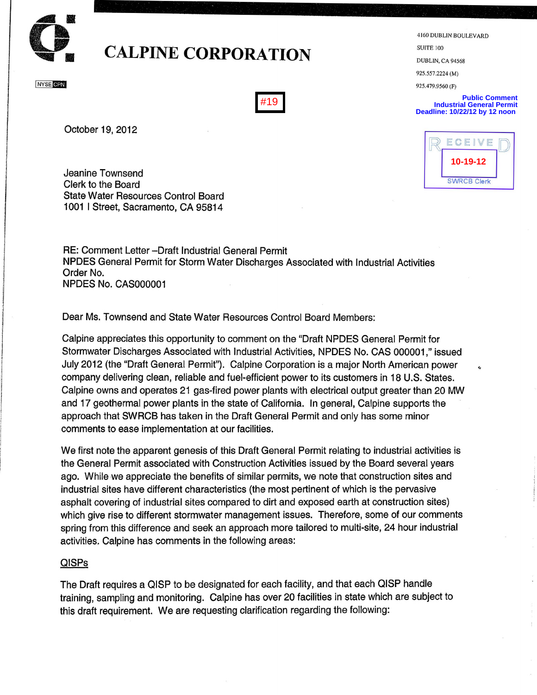

# **.... CALPINE CORPORATION**

**NYSE CPN** 

#19

October 19, 2012

**10-19-12 ECEIVE** 10-19-12

4 160 DUBLIN BOULEVARD

SUITE 100 DUBLIN, CA 94568 925.557.2224 (M) 925.479.9560 (F)

**Public Comment Industrial General Permit Deadline: 10/22/12 by 12 noon** 

Jeanine Townsend Clerk to the Board State Water Resources Control Board 1001 I Street, Sacramento, CA 95814

RE: Comment Letter -Draft Industrial General Permit NPDES General Permit for Storm Water Discharges Associated with Industrial Activities Order No. NPDES No. CAS000001

Dear Ms. Townsend and State Water Resources Control Board Members:

Calpine appreciates this opportunity to comment on the "Draft NPDES General Permit for Stormwater Discharges Associated with Industrial Activities, NPDES No. CAS 000001," issued July 2012 (the "Draft General Permit"). Calpine Corporation is a major North American power company delivering clean, reliable and fuel-efficient power to its customers in 18 U.S. States. Calpine owns and operates 21 gas-fired power plants with electrical output greater than 20 MW and 17 geothermal power plants in the state of California. In general, Calpine supports the approach that SWRCB has taken in the Draft General Permit and only has some minor comments to ease implementation at our facilities.

We first note the apparent genesis of this Draft General Permit relating to industrial activities is the General Permit associated with Construction Activities issued by the Board several years ago. While we appreciate the benefits of similar permits, we note that construction sites and industrial sites have different characteristics (the most pertinent of which is the pervasive asphalt covering of industrial sites compared to dirt and exposed earth at construction sites) which give rise to different stormwater management issues. Therefore, some of our comments spring from this difference and seek an approach more tailored to multi-site, 24 hour industrial activities. Calpine has comments in the following areas:

## QISPs

The Draft requires a QISP to be designated for each facility, and that each QISP handle training, sampling and monitoring. Calpine has over 20 facilities in state which are subject to this draft requirement. We are requesting clarification regarding the following: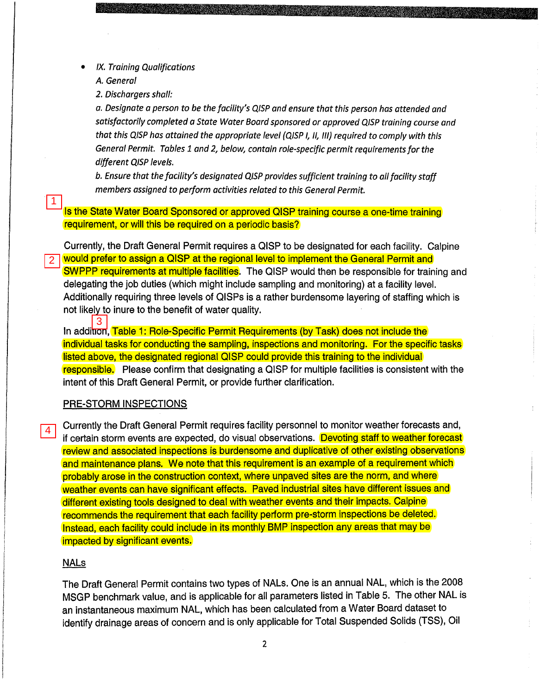- IX. Training Qualifications
	- A. General

2. Dischargers shall:

a. Designate a person to be the facility's QISP and ensure that this person has attended and satisfactorily completed a State Water Board sponsored or approved QISP training course and that this QISP has attained the appropriate level (QISP I, II, *11/)* required to comply with this General Permit. Tables 1 and 2, below, contain role-specific permit requirements for the different QISP levels.

b. Ensure that the facility's designated QISP provides sufficient training to all facility staff members assigned to perform activities related to this General Permit.

Is the State Water Board Sponsored or approved QISP training course a one-time training requirement, or will this be required on a periodic basis?

Currently, the Draft General Permit requires a QISP to be deSignated for each facility. Calpine would prefer to assign a QISP at the regional level to implement the General Permit and SWPPP requirements at multiple facilities. The QISP would then be responsible for training and delegating the job duties (which might include sampling and monitoring) at a facility level. Additionally requiring three levels of QISPs is a rather burdensome layering of staffing which is not likely to inure to the benefit of water quality. 1<br>
Is the Sta<br>
requirem<br>
Currently<br>
2<br>
would pre<br>
delegatin<br>
Additiona<br>
not likely<br>
1<br>
3<br>
In additiona<br>
individual<br>
listed abc<br>
responsit<br>
intent of t<br>
PRE-STC<br>
4

In addition, Table 1: Role-Specific Permit Requirements (by Task) does not include the individual tasks for conducting the sampling, inspections and monitoring. For the specific tasks listed above, the designated regional QISP could provide this training to the individual responsible. Please confirm that designating a QISP for multiple facilities is consistent with the intent of this Draft General Permit, or provide further clarification.

## PRE-STORM INSPECTIONS

Currently the Draft General Permit requires facility personnel to monitor weather forecasts and, if certain storm events are expected, do visual observations. Devoting staff to weather forecast review and associated inspections is burdensome and duplicative of other existing observations and maintenance plans. We note that this requirement is an example of a requirement which probably arose in the construction context, where unpaved sites are the norm, and where weather events can have significant effects. Paved industrial sites have different issues and different existing tools designed to deal with weather events and their impacts. Calpine recommends the requirement that each facility perform pre-storm inspections be deleted. Instead, each facility could include in its monthly BMP inspection any areas that may be impacted by significant events.

# NALs

The Draft General Permit contains two types of NALs. One is an annual NAL, which is the 2008 MSGP benchmark value, and is applicable for all parameters listed in Table 5. The other NAL is an instantaneous maximum NAL, which has been calculated from a Water Board dataset to identify drainage areas of concern and is only applicable for Total Suspended Solids (TSS), Oil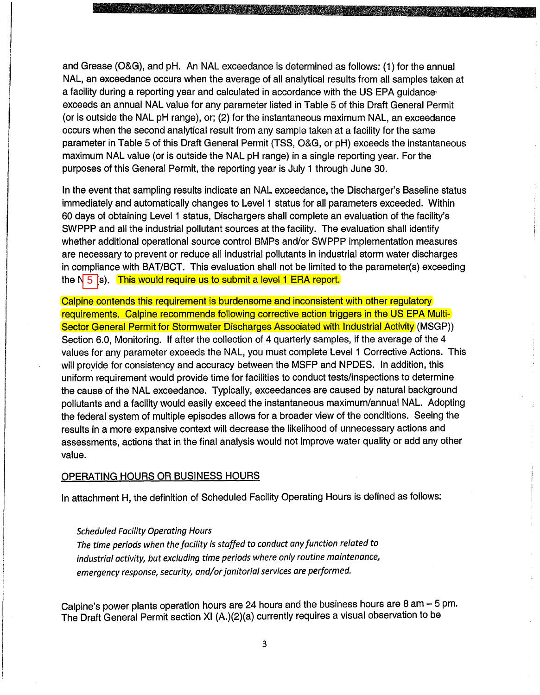and Grease (O&G), and pH. An NAL exceedance is determined as follows: (1) for the annual NAL, an exceedance occurs when the average of all analytical results from all samples taken at a facility during a reporting year and calculated in accordance with the US EPA guidance exceeds an annual NAL value for any parameter listed in Table 5 of this Draft General Permit (or is outside the NAL pH range), or; (2) for the instantaneous maximum NAL, an exceedance occurs when the second analytical result from any sample taken at a facility for the same parameter in Table 5 of this Draft General Permit (TSS, O&G, or pH) exceeds the instantaneous maximum NAL value (or is outside the NAL pH range) in a single reporting year. For the purposes of this General Permit, the reporting year is July 1 through June 30.

In the event that sampling results indicate an NAL exceedance, the Discharger's Baseline status immediately and automatically changes to Level 1 status for all parameters exceeded. Within 60 days of obtaining Level 1 status, Dischargers shall complete an evaluation of the facility's SWPPP and all the industrial pollutant sources at the facility. The evaluation shall identify whether additional operational source control BMPs and/or SWPPP implementation measures are necessary to prevent or reduce all industrial pollutants in industrial storm water discharges in compliance with BAT/BCT. This evaluation shall not be limited to the parameter(s) exceeding the N  $_5$  [s).  $\,$  This would require us to submit a level 1 ERA report.  $\,$ 

Calpine contends this requirement is burdensome and inconsistent with other regulatory requirements. Calpine recommends following corrective action triggers in the US EPA Multi-Sector General Permit for Stormwater Discharges Associated with Industrial Activity (MSGP)) Section 6.0, Monitoring. If after the collection of 4 quarterly samples, if the average of the 4 values for any parameter exceeds the NAL, you must complete Level 1 Corrective Actions. This will proyide for consistency and accuracy between the MSFP and NPDES. In addition, this uniform requirement would provide time for facilities to conduct tests/inspections to determine the cause of the NAL exceedance. Typically, exceedances are caused by natural background pollutants and a facility would easily exceed the instantaneous maximum/annual NAL. Adopting the federal system of multiple episodes allows for a broader view of the conditions. Seeing the results in a more expansive context will decrease the likelihood of unnecessary actions and assessments, actions that in the final analysis would not improve water quality or add any other value.

### OPERATING HOURS OR BUSINESS HOURS

In attachment H, the definition of Scheduled Facility Operating Hours is defined as follows:

#### *Scheduled Facility Operating Hours*

*The time periods when the facility is staffed* to *conduct any function related* to *industrial activity, but excluding time periods where only routine maintenance, emergency response, security, and/or janitorial services are performed.* 

Calpine's power plants operation hours are 24 hours and the business hours are  $8$  am  $-$  5 pm. The Draft General Permit section XI (A.)(2)(a) currently requires a visual observation to be